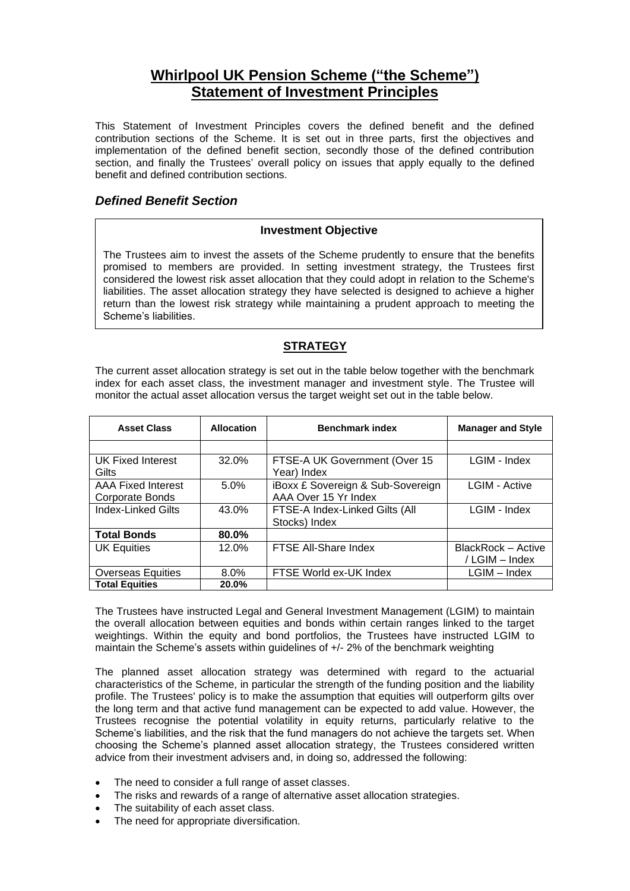# **Whirlpool UK Pension Scheme ("the Scheme") Statement of Investment Principles**

This Statement of Investment Principles covers the defined benefit and the defined contribution sections of the Scheme. It is set out in three parts, first the objectives and implementation of the defined benefit section, secondly those of the defined contribution section, and finally the Trustees' overall policy on issues that apply equally to the defined benefit and defined contribution sections.

### *Defined Benefit Section*

### **Investment Objective**

The Trustees aim to invest the assets of the Scheme prudently to ensure that the benefits promised to members are provided. In setting investment strategy, the Trustees first considered the lowest risk asset allocation that they could adopt in relation to the Scheme's liabilities. The asset allocation strategy they have selected is designed to achieve a higher return than the lowest risk strategy while maintaining a prudent approach to meeting the Scheme's liabilities.

## **STRATEGY**

The current asset allocation strategy is set out in the table below together with the benchmark index for each asset class, the investment manager and investment style. The Trustee will monitor the actual asset allocation versus the target weight set out in the table below.

| <b>Asset Class</b>                           | <b>Allocation</b> | <b>Benchmark index</b>                                    | <b>Manager and Style</b>             |
|----------------------------------------------|-------------------|-----------------------------------------------------------|--------------------------------------|
|                                              |                   |                                                           |                                      |
| UK Fixed Interest<br>Gilts                   | 32.0%             | FTSE-A UK Government (Over 15<br>Year) Index              | LGIM - Index                         |
| <b>AAA Fixed Interest</b><br>Corporate Bonds | 5.0%              | iBoxx £ Sovereign & Sub-Sovereign<br>AAA Over 15 Yr Index | <b>LGIM - Active</b>                 |
| <b>Index-Linked Gilts</b>                    | 43.0%             | FTSE-A Index-Linked Gilts (All<br>Stocks) Index           | LGIM - Index                         |
| <b>Total Bonds</b>                           | 80.0%             |                                                           |                                      |
| <b>UK Equities</b>                           | 12.0%             | FTSE All-Share Index                                      | BlackRock - Active<br>/ LGIM - Index |
| <b>Overseas Equities</b>                     | $8.0\%$           | FTSE World ex-UK Index                                    | $LGIM$ – Index                       |
| <b>Total Equities</b>                        | 20.0%             |                                                           |                                      |

The Trustees have instructed Legal and General Investment Management (LGIM) to maintain the overall allocation between equities and bonds within certain ranges linked to the target weightings. Within the equity and bond portfolios, the Trustees have instructed LGIM to maintain the Scheme's assets within guidelines of +/- 2% of the benchmark weighting

The planned asset allocation strategy was determined with regard to the actuarial characteristics of the Scheme, in particular the strength of the funding position and the liability profile. The Trustees' policy is to make the assumption that equities will outperform gilts over the long term and that active fund management can be expected to add value. However, the Trustees recognise the potential volatility in equity returns, particularly relative to the Scheme's liabilities, and the risk that the fund managers do not achieve the targets set. When choosing the Scheme's planned asset allocation strategy, the Trustees considered written advice from their investment advisers and, in doing so, addressed the following:

- The need to consider a full range of asset classes.
- The risks and rewards of a range of alternative asset allocation strategies.
- The suitability of each asset class.
- The need for appropriate diversification.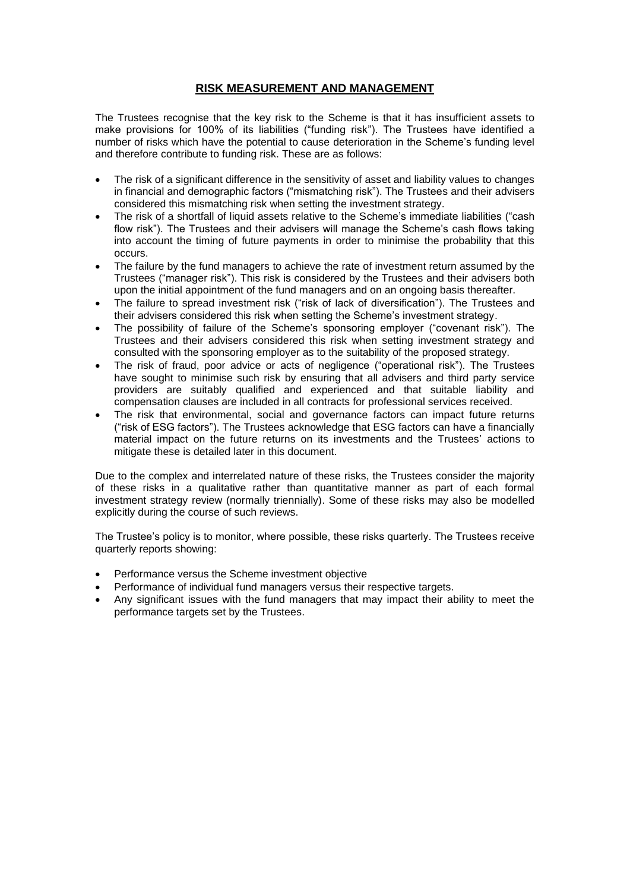### **RISK MEASUREMENT AND MANAGEMENT**

The Trustees recognise that the key risk to the Scheme is that it has insufficient assets to make provisions for 100% of its liabilities ("funding risk"). The Trustees have identified a number of risks which have the potential to cause deterioration in the Scheme's funding level and therefore contribute to funding risk. These are as follows:

- The risk of a significant difference in the sensitivity of asset and liability values to changes in financial and demographic factors ("mismatching risk"). The Trustees and their advisers considered this mismatching risk when setting the investment strategy.
- The risk of a shortfall of liquid assets relative to the Scheme's immediate liabilities ("cash flow risk"). The Trustees and their advisers will manage the Scheme's cash flows taking into account the timing of future payments in order to minimise the probability that this occurs.
- The failure by the fund managers to achieve the rate of investment return assumed by the Trustees ("manager risk"). This risk is considered by the Trustees and their advisers both upon the initial appointment of the fund managers and on an ongoing basis thereafter.
- The failure to spread investment risk ("risk of lack of diversification"). The Trustees and their advisers considered this risk when setting the Scheme's investment strategy.
- The possibility of failure of the Scheme's sponsoring employer ("covenant risk"). The Trustees and their advisers considered this risk when setting investment strategy and consulted with the sponsoring employer as to the suitability of the proposed strategy.
- The risk of fraud, poor advice or acts of negligence ("operational risk"). The Trustees have sought to minimise such risk by ensuring that all advisers and third party service providers are suitably qualified and experienced and that suitable liability and compensation clauses are included in all contracts for professional services received.
- The risk that environmental, social and governance factors can impact future returns ("risk of ESG factors"). The Trustees acknowledge that ESG factors can have a financially material impact on the future returns on its investments and the Trustees' actions to mitigate these is detailed later in this document.

Due to the complex and interrelated nature of these risks, the Trustees consider the majority of these risks in a qualitative rather than quantitative manner as part of each formal investment strategy review (normally triennially). Some of these risks may also be modelled explicitly during the course of such reviews.

The Trustee's policy is to monitor, where possible, these risks quarterly. The Trustees receive quarterly reports showing:

- Performance versus the Scheme investment objective
- Performance of individual fund managers versus their respective targets.
- Any significant issues with the fund managers that may impact their ability to meet the performance targets set by the Trustees.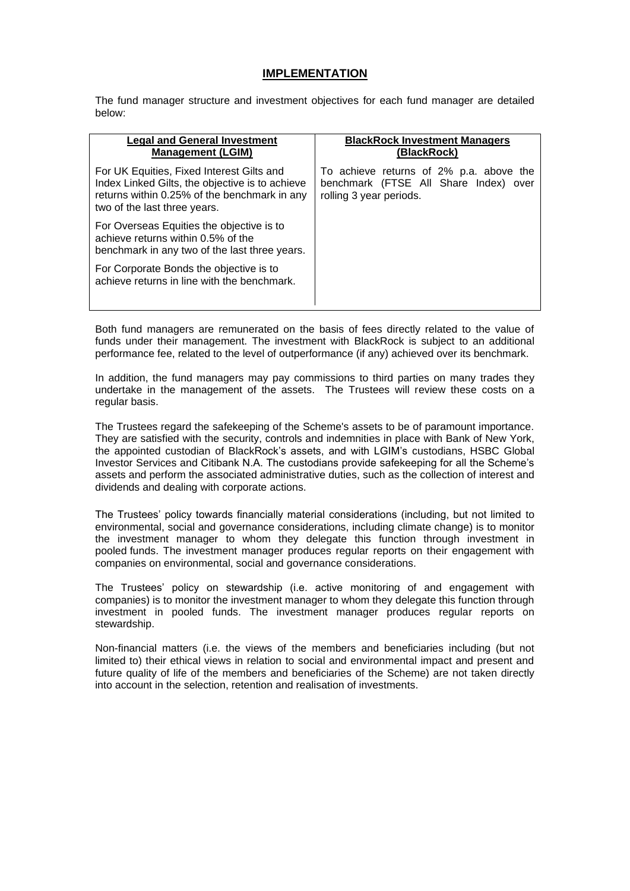#### **IMPLEMENTATION**

The fund manager structure and investment objectives for each fund manager are detailed below:

| <b>Legal and General Investment</b><br><b>Management (LGIM)</b>                                                                                                              | <b>BlackRock Investment Managers</b><br>(BlackRock)                                                         |
|------------------------------------------------------------------------------------------------------------------------------------------------------------------------------|-------------------------------------------------------------------------------------------------------------|
| For UK Equities, Fixed Interest Gilts and<br>Index Linked Gilts, the objective is to achieve<br>returns within 0.25% of the benchmark in any<br>two of the last three years. | To achieve returns of 2% p.a. above the<br>benchmark (FTSE All Share Index) over<br>rolling 3 year periods. |
| For Overseas Equities the objective is to<br>achieve returns within 0.5% of the<br>benchmark in any two of the last three years.                                             |                                                                                                             |
| For Corporate Bonds the objective is to<br>achieve returns in line with the benchmark.                                                                                       |                                                                                                             |

Both fund managers are remunerated on the basis of fees directly related to the value of funds under their management. The investment with BlackRock is subject to an additional performance fee, related to the level of outperformance (if any) achieved over its benchmark.

In addition, the fund managers may pay commissions to third parties on many trades they undertake in the management of the assets. The Trustees will review these costs on a regular basis.

The Trustees regard the safekeeping of the Scheme's assets to be of paramount importance. They are satisfied with the security, controls and indemnities in place with Bank of New York, the appointed custodian of BlackRock's assets, and with LGIM's custodians, HSBC Global Investor Services and Citibank N.A. The custodians provide safekeeping for all the Scheme's assets and perform the associated administrative duties, such as the collection of interest and dividends and dealing with corporate actions.

The Trustees' policy towards financially material considerations (including, but not limited to environmental, social and governance considerations, including climate change) is to monitor the investment manager to whom they delegate this function through investment in pooled funds. The investment manager produces regular reports on their engagement with companies on environmental, social and governance considerations.

The Trustees' policy on stewardship (i.e. active monitoring of and engagement with companies) is to monitor the investment manager to whom they delegate this function through investment in pooled funds. The investment manager produces regular reports on stewardship.

Non-financial matters (i.e. the views of the members and beneficiaries including (but not limited to) their ethical views in relation to social and environmental impact and present and future quality of life of the members and beneficiaries of the Scheme) are not taken directly into account in the selection, retention and realisation of investments.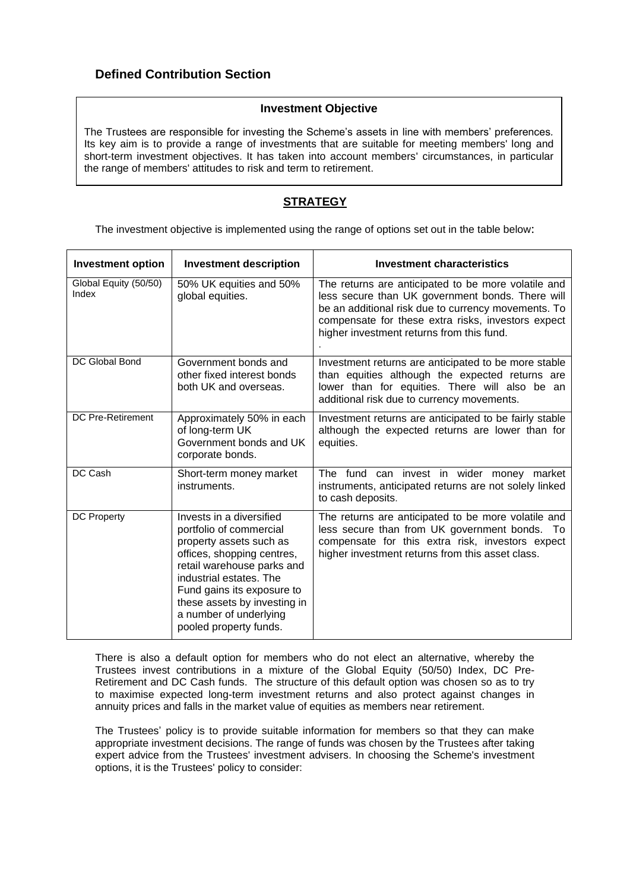# **Defined Contribution Section**

### **Investment Objective**

The Trustees are responsible for investing the Scheme's assets in line with members' preferences*.*  Its key aim is to provide a range of investments that are suitable for meeting members' long and short-term investment objectives. It has taken into account members' circumstances, in particular the range of members' attitudes to risk and term to retirement.

# **STRATEGY**

The investment objective is implemented using the range of options set out in the table below:

| <b>Investment option</b>       | <b>Investment description</b>                                                                                                                                                                                                                                                           | <b>Investment characteristics</b>                                                                                                                                                                                                                                 |  |
|--------------------------------|-----------------------------------------------------------------------------------------------------------------------------------------------------------------------------------------------------------------------------------------------------------------------------------------|-------------------------------------------------------------------------------------------------------------------------------------------------------------------------------------------------------------------------------------------------------------------|--|
| Global Equity (50/50)<br>Index | 50% UK equities and 50%<br>global equities.                                                                                                                                                                                                                                             | The returns are anticipated to be more volatile and<br>less secure than UK government bonds. There will<br>be an additional risk due to currency movements. To<br>compensate for these extra risks, investors expect<br>higher investment returns from this fund. |  |
| DC Global Bond                 | Government bonds and<br>other fixed interest bonds<br>both UK and overseas.                                                                                                                                                                                                             | Investment returns are anticipated to be more stable<br>than equities although the expected returns are<br>lower than for equities. There will also be an<br>additional risk due to currency movements.                                                           |  |
| <b>DC Pre-Retirement</b>       | Approximately 50% in each<br>of long-term UK<br>Government bonds and UK<br>corporate bonds.                                                                                                                                                                                             | Investment returns are anticipated to be fairly stable<br>although the expected returns are lower than for<br>equities.                                                                                                                                           |  |
| DC Cash                        | Short-term money market<br>instruments.                                                                                                                                                                                                                                                 | The fund can invest in wider money market<br>instruments, anticipated returns are not solely linked<br>to cash deposits.                                                                                                                                          |  |
| <b>DC Property</b>             | Invests in a diversified<br>portfolio of commercial<br>property assets such as<br>offices, shopping centres,<br>retail warehouse parks and<br>industrial estates. The<br>Fund gains its exposure to<br>these assets by investing in<br>a number of underlying<br>pooled property funds. | The returns are anticipated to be more volatile and<br>less secure than from UK government bonds. To<br>compensate for this extra risk, investors expect<br>higher investment returns from this asset class.                                                      |  |

There is also a default option for members who do not elect an alternative, whereby the Trustees invest contributions in a mixture of the Global Equity (50/50) Index, DC Pre-Retirement and DC Cash funds. The structure of this default option was chosen so as to try to maximise expected long-term investment returns and also protect against changes in annuity prices and falls in the market value of equities as members near retirement.

The Trustees' policy is to provide suitable information for members so that they can make appropriate investment decisions. The range of funds was chosen by the Trustees after taking expert advice from the Trustees' investment advisers. In choosing the Scheme's investment options, it is the Trustees' policy to consider: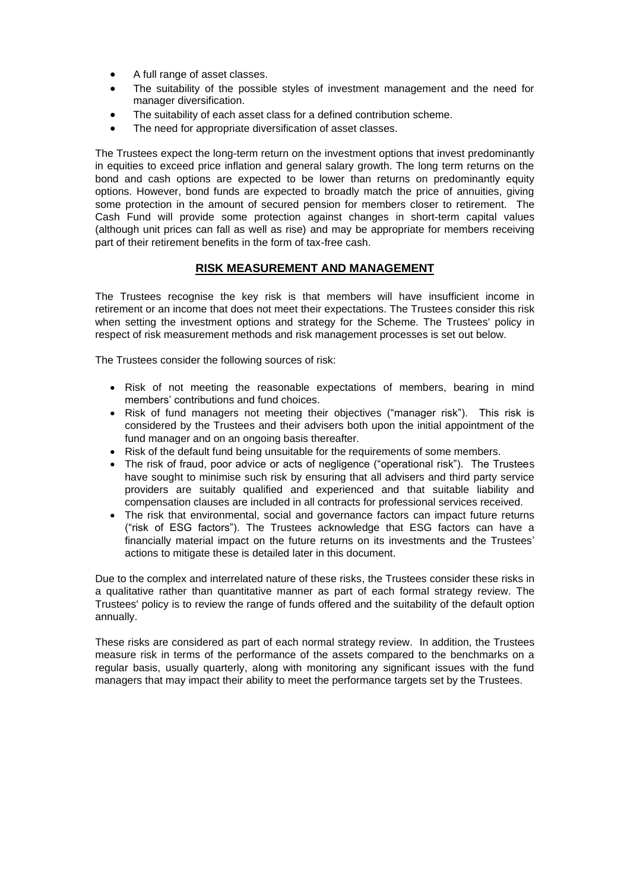- A full range of asset classes.
- The suitability of the possible styles of investment management and the need for manager diversification.
- The suitability of each asset class for a defined contribution scheme.
- The need for appropriate diversification of asset classes.

The Trustees expect the long-term return on the investment options that invest predominantly in equities to exceed price inflation and general salary growth. The long term returns on the bond and cash options are expected to be lower than returns on predominantly equity options. However, bond funds are expected to broadly match the price of annuities, giving some protection in the amount of secured pension for members closer to retirement. The Cash Fund will provide some protection against changes in short-term capital values (although unit prices can fall as well as rise) and may be appropriate for members receiving part of their retirement benefits in the form of tax-free cash.

### **RISK MEASUREMENT AND MANAGEMENT**

The Trustees recognise the key risk is that members will have insufficient income in retirement or an income that does not meet their expectations. The Trustees consider this risk when setting the investment options and strategy for the Scheme. The Trustees' policy in respect of risk measurement methods and risk management processes is set out below.

The Trustees consider the following sources of risk:

- Risk of not meeting the reasonable expectations of members, bearing in mind members' contributions and fund choices.
- Risk of fund managers not meeting their objectives ("manager risk"). This risk is considered by the Trustees and their advisers both upon the initial appointment of the fund manager and on an ongoing basis thereafter.
- Risk of the default fund being unsuitable for the requirements of some members.
- The risk of fraud, poor advice or acts of negligence ("operational risk"). The Trustees have sought to minimise such risk by ensuring that all advisers and third party service providers are suitably qualified and experienced and that suitable liability and compensation clauses are included in all contracts for professional services received.
- The risk that environmental, social and governance factors can impact future returns ("risk of ESG factors"). The Trustees acknowledge that ESG factors can have a financially material impact on the future returns on its investments and the Trustees' actions to mitigate these is detailed later in this document.

Due to the complex and interrelated nature of these risks, the Trustees consider these risks in a qualitative rather than quantitative manner as part of each formal strategy review. The Trustees' policy is to review the range of funds offered and the suitability of the default option annually.

These risks are considered as part of each normal strategy review. In addition, the Trustees measure risk in terms of the performance of the assets compared to the benchmarks on a regular basis, usually quarterly, along with monitoring any significant issues with the fund managers that may impact their ability to meet the performance targets set by the Trustees.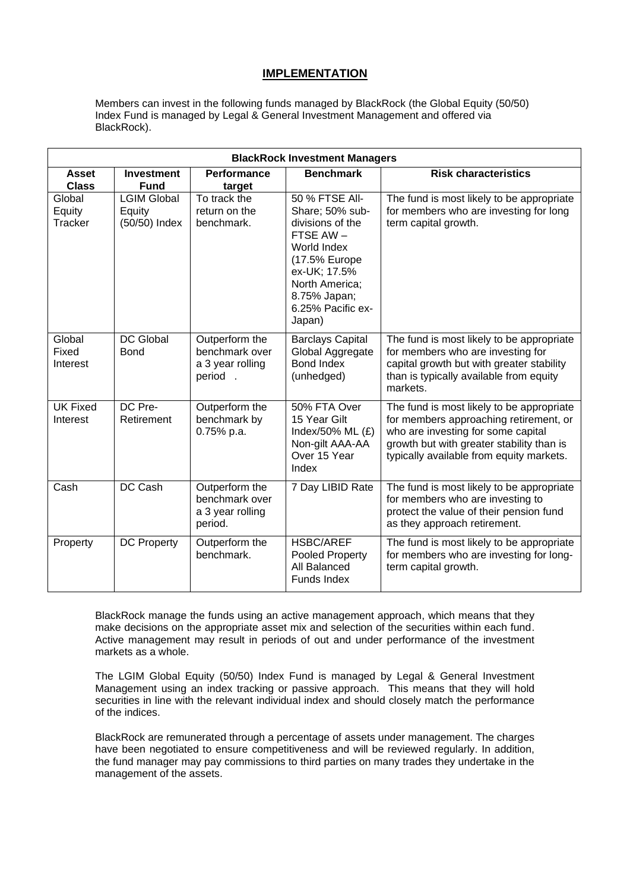### **IMPLEMENTATION**

Members can invest in the following funds managed by BlackRock (the Global Equity (50/50) Index Fund is managed by Legal & General Investment Management and offered via BlackRock).

| <b>BlackRock Investment Managers</b> |                                               |                                                                 |                                                                                                                                                                                    |                                                                                                                                                                                                                    |  |
|--------------------------------------|-----------------------------------------------|-----------------------------------------------------------------|------------------------------------------------------------------------------------------------------------------------------------------------------------------------------------|--------------------------------------------------------------------------------------------------------------------------------------------------------------------------------------------------------------------|--|
| <b>Asset</b><br><b>Class</b>         | <b>Investment</b><br><b>Fund</b>              | <b>Performance</b><br>target                                    | <b>Benchmark</b>                                                                                                                                                                   | <b>Risk characteristics</b>                                                                                                                                                                                        |  |
| Global<br>Equity<br>Tracker          | <b>LGIM Global</b><br>Equity<br>(50/50) Index | To track the<br>return on the<br>benchmark.                     | 50 % FTSE All-<br>Share; 50% sub-<br>divisions of the<br>FTSE AW-<br>World Index<br>(17.5% Europe<br>ex-UK; 17.5%<br>North America;<br>8.75% Japan;<br>6.25% Pacific ex-<br>Japan) | The fund is most likely to be appropriate<br>for members who are investing for long<br>term capital growth.                                                                                                        |  |
| Global<br>Fixed<br>Interest          | <b>DC Global</b><br>Bond                      | Outperform the<br>benchmark over<br>a 3 year rolling<br>period. | <b>Barclays Capital</b><br>Global Aggregate<br><b>Bond Index</b><br>(unhedged)                                                                                                     | The fund is most likely to be appropriate<br>for members who are investing for<br>capital growth but with greater stability<br>than is typically available from equity<br>markets.                                 |  |
| <b>UK Fixed</b><br>Interest          | DC Pre-<br>Retirement                         | Outperform the<br>benchmark by<br>0.75% p.a.                    | 50% FTA Over<br>15 Year Gilt<br>Index/50% ML (£)<br>Non-gilt AAA-AA<br>Over 15 Year<br>Index                                                                                       | The fund is most likely to be appropriate<br>for members approaching retirement, or<br>who are investing for some capital<br>growth but with greater stability than is<br>typically available from equity markets. |  |
| Cash                                 | <b>DC Cash</b>                                | Outperform the<br>benchmark over<br>a 3 year rolling<br>period. | 7 Day LIBID Rate                                                                                                                                                                   | The fund is most likely to be appropriate<br>for members who are investing to<br>protect the value of their pension fund<br>as they approach retirement.                                                           |  |
| Property                             | <b>DC Property</b>                            | Outperform the<br>benchmark.                                    | <b>HSBC/AREF</b><br>Pooled Property<br>All Balanced<br>Funds Index                                                                                                                 | The fund is most likely to be appropriate<br>for members who are investing for long-<br>term capital growth.                                                                                                       |  |

BlackRock manage the funds using an active management approach, which means that they make decisions on the appropriate asset mix and selection of the securities within each fund. Active management may result in periods of out and under performance of the investment markets as a whole.

The LGIM Global Equity (50/50) Index Fund is managed by Legal & General Investment Management using an index tracking or passive approach. This means that they will hold securities in line with the relevant individual index and should closely match the performance of the indices.

BlackRock are remunerated through a percentage of assets under management. The charges have been negotiated to ensure competitiveness and will be reviewed regularly. In addition, the fund manager may pay commissions to third parties on many trades they undertake in the management of the assets.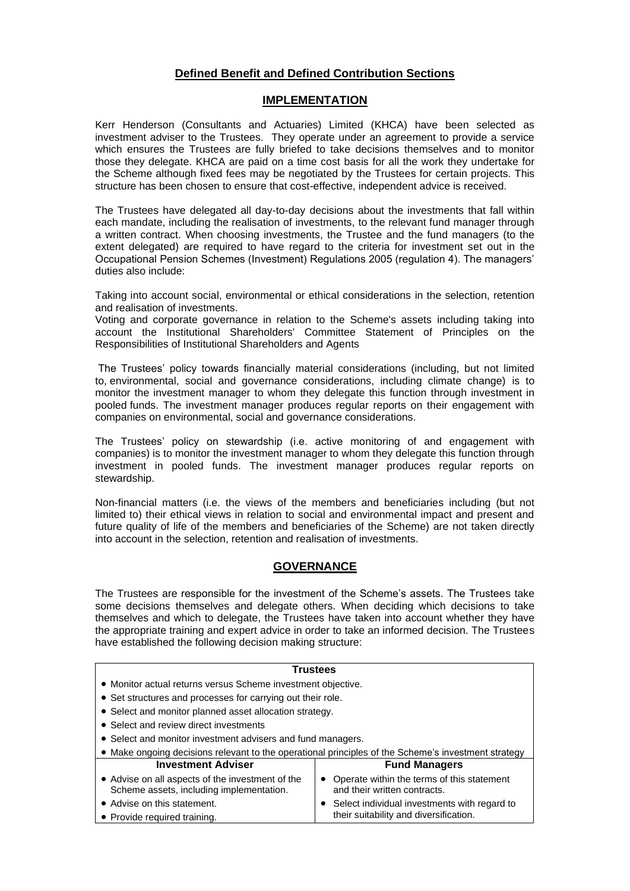### **Defined Benefit and Defined Contribution Sections**

### **IMPLEMENTATION**

Kerr Henderson (Consultants and Actuaries) Limited (KHCA) have been selected as investment adviser to the Trustees. They operate under an agreement to provide a service which ensures the Trustees are fully briefed to take decisions themselves and to monitor those they delegate. KHCA are paid on a time cost basis for all the work they undertake for the Scheme although fixed fees may be negotiated by the Trustees for certain projects. This structure has been chosen to ensure that cost-effective, independent advice is received.

The Trustees have delegated all day-to-day decisions about the investments that fall within each mandate, including the realisation of investments, to the relevant fund manager through a written contract. When choosing investments, the Trustee and the fund managers (to the extent delegated) are required to have regard to the criteria for investment set out in the Occupational Pension Schemes (Investment) Regulations 2005 (regulation 4). The managers' duties also include:

Taking into account social, environmental or ethical considerations in the selection, retention and realisation of investments.

Voting and corporate governance in relation to the Scheme's assets including taking into account the Institutional Shareholders' Committee Statement of Principles on the Responsibilities of Institutional Shareholders and Agents

The Trustees' policy towards financially material considerations (including, but not limited to, environmental, social and governance considerations, including climate change) is to monitor the investment manager to whom they delegate this function through investment in pooled funds. The investment manager produces regular reports on their engagement with companies on environmental, social and governance considerations.

The Trustees' policy on stewardship (i.e. active monitoring of and engagement with companies) is to monitor the investment manager to whom they delegate this function through investment in pooled funds. The investment manager produces regular reports on stewardship.

Non-financial matters (i.e. the views of the members and beneficiaries including (but not limited to) their ethical views in relation to social and environmental impact and present and future quality of life of the members and beneficiaries of the Scheme) are not taken directly into account in the selection, retention and realisation of investments.

### **GOVERNANCE**

The Trustees are responsible for the investment of the Scheme's assets. The Trustees take some decisions themselves and delegate others. When deciding which decisions to take themselves and which to delegate, the Trustees have taken into account whether they have the appropriate training and expert advice in order to take an informed decision. The Trustees have established the following decision making structure:

| <b>Trustees</b>                                                                                     |                                                                            |  |  |  |
|-----------------------------------------------------------------------------------------------------|----------------------------------------------------------------------------|--|--|--|
| • Monitor actual returns versus Scheme investment objective.                                        |                                                                            |  |  |  |
| • Set structures and processes for carrying out their role.                                         |                                                                            |  |  |  |
| • Select and monitor planned asset allocation strategy.                                             |                                                                            |  |  |  |
| • Select and review direct investments                                                              |                                                                            |  |  |  |
| • Select and monitor investment advisers and fund managers.                                         |                                                                            |  |  |  |
| • Make ongoing decisions relevant to the operational principles of the Scheme's investment strategy |                                                                            |  |  |  |
| <b>Investment Adviser</b>                                                                           | <b>Fund Managers</b>                                                       |  |  |  |
| • Advise on all aspects of the investment of the<br>Scheme assets, including implementation.        | Operate within the terms of this statement<br>and their written contracts. |  |  |  |
| • Advise on this statement.                                                                         | Select individual investments with regard to                               |  |  |  |
| • Provide required training.                                                                        | their suitability and diversification.                                     |  |  |  |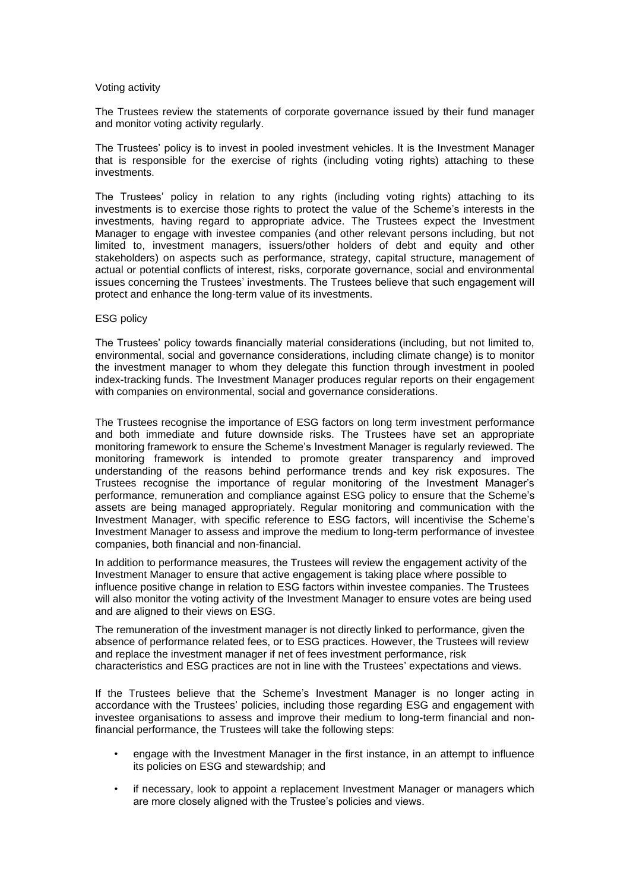#### Voting activity

The Trustees review the statements of corporate governance issued by their fund manager and monitor voting activity regularly.

The Trustees' policy is to invest in pooled investment vehicles. It is the Investment Manager that is responsible for the exercise of rights (including voting rights) attaching to these investments.

The Trustees' policy in relation to any rights (including voting rights) attaching to its investments is to exercise those rights to protect the value of the Scheme's interests in the investments, having regard to appropriate advice. The Trustees expect the Investment Manager to engage with investee companies (and other relevant persons including, but not limited to, investment managers, issuers/other holders of debt and equity and other stakeholders) on aspects such as performance, strategy, capital structure, management of actual or potential conflicts of interest, risks, corporate governance, social and environmental issues concerning the Trustees' investments. The Trustees believe that such engagement will protect and enhance the long-term value of its investments.

#### ESG policy

The Trustees' policy towards financially material considerations (including, but not limited to, environmental, social and governance considerations, including climate change) is to monitor the investment manager to whom they delegate this function through investment in pooled index-tracking funds. The Investment Manager produces regular reports on their engagement with companies on environmental, social and governance considerations.

The Trustees recognise the importance of ESG factors on long term investment performance and both immediate and future downside risks. The Trustees have set an appropriate monitoring framework to ensure the Scheme's Investment Manager is regularly reviewed. The monitoring framework is intended to promote greater transparency and improved understanding of the reasons behind performance trends and key risk exposures. The Trustees recognise the importance of regular monitoring of the Investment Manager's performance, remuneration and compliance against ESG policy to ensure that the Scheme's assets are being managed appropriately. Regular monitoring and communication with the Investment Manager, with specific reference to ESG factors, will incentivise the Scheme's Investment Manager to assess and improve the medium to long-term performance of investee companies, both financial and non-financial.

In addition to performance measures, the Trustees will review the engagement activity of the Investment Manager to ensure that active engagement is taking place where possible to influence positive change in relation to ESG factors within investee companies. The Trustees will also monitor the voting activity of the Investment Manager to ensure votes are being used and are aligned to their views on ESG.

The remuneration of the investment manager is not directly linked to performance, given the absence of performance related fees, or to ESG practices. However, the Trustees will review and replace the investment manager if net of fees investment performance, risk characteristics and ESG practices are not in line with the Trustees' expectations and views.

If the Trustees believe that the Scheme's Investment Manager is no longer acting in accordance with the Trustees' policies, including those regarding ESG and engagement with investee organisations to assess and improve their medium to long-term financial and nonfinancial performance, the Trustees will take the following steps:

- engage with the Investment Manager in the first instance, in an attempt to influence its policies on ESG and stewardship; and
- if necessary, look to appoint a replacement Investment Manager or managers which are more closely aligned with the Trustee's policies and views.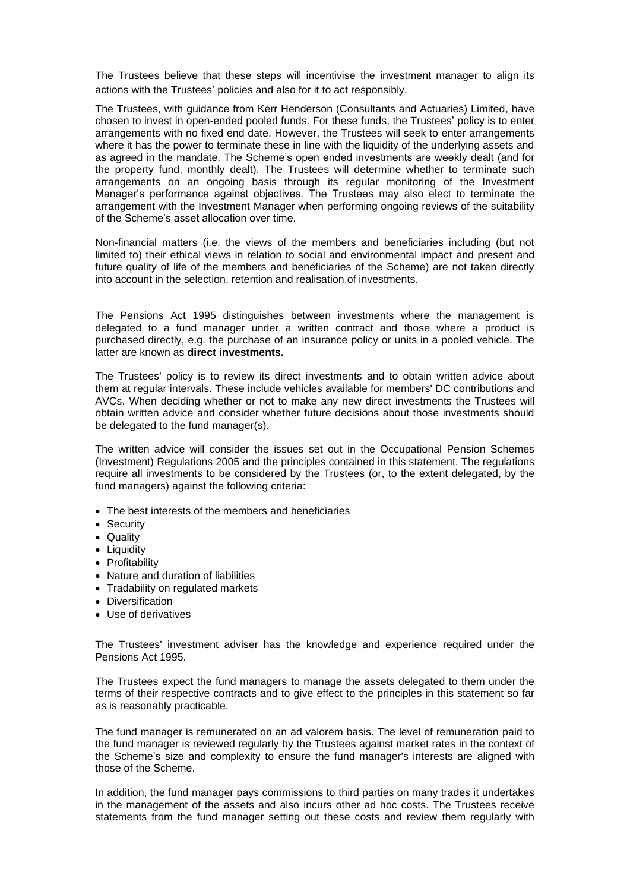The Trustees believe that these steps will incentivise the investment manager to align its actions with the Trustees' policies and also for it to act responsibly.

The Trustees, with guidance from Kerr Henderson (Consultants and Actuaries) Limited, have chosen to invest in open-ended pooled funds. For these funds, the Trustees' policy is to enter arrangements with no fixed end date. However, the Trustees will seek to enter arrangements where it has the power to terminate these in line with the liquidity of the underlying assets and as agreed in the mandate. The Scheme's open ended investments are weekly dealt (and for the property fund, monthly dealt). The Trustees will determine whether to terminate such arrangements on an ongoing basis through its regular monitoring of the Investment Manager's performance against objectives. The Trustees may also elect to terminate the arrangement with the Investment Manager when performing ongoing reviews of the suitability of the Scheme's asset allocation over time.

Non-financial matters (i.e. the views of the members and beneficiaries including (but not limited to) their ethical views in relation to social and environmental impact and present and future quality of life of the members and beneficiaries of the Scheme) are not taken directly into account in the selection, retention and realisation of investments.

The Pensions Act 1995 distinguishes between investments where the management is delegated to a fund manager under a written contract and those where a product is purchased directly, e.g. the purchase of an insurance policy or units in a pooled vehicle. The latter are known as **direct investments.**

The Trustees' policy is to review its direct investments and to obtain written advice about them at regular intervals. These include vehicles available for members' DC contributions and AVCs. When deciding whether or not to make any new direct investments the Trustees will obtain written advice and consider whether future decisions about those investments should be delegated to the fund manager(s).

The written advice will consider the issues set out in the Occupational Pension Schemes (Investment) Regulations 2005 and the principles contained in this statement. The regulations require all investments to be considered by the Trustees (or, to the extent delegated, by the fund managers) against the following criteria:

- The best interests of the members and beneficiaries
- Security
- Quality
- Liquidity
- Profitability
- Nature and duration of liabilities
- Tradability on regulated markets
- Diversification
- Use of derivatives

The Trustees' investment adviser has the knowledge and experience required under the Pensions Act 1995.

The Trustees expect the fund managers to manage the assets delegated to them under the terms of their respective contracts and to give effect to the principles in this statement so far as is reasonably practicable.

The fund manager is remunerated on an ad valorem basis. The level of remuneration paid to the fund manager is reviewed regularly by the Trustees against market rates in the context of the Scheme's size and complexity to ensure the fund manager's interests are aligned with those of the Scheme.

In addition, the fund manager pays commissions to third parties on many trades it undertakes in the management of the assets and also incurs other ad hoc costs. The Trustees receive statements from the fund manager setting out these costs and review them regularly with